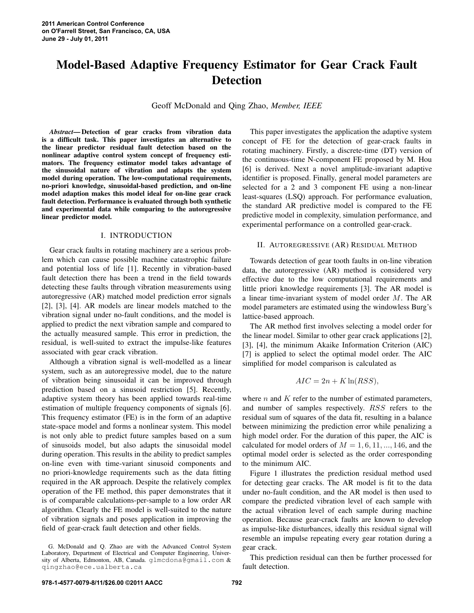# **Model-Based Adaptive Frequency Estimator for Gear Crack Fault Detection**

Geoff McDonald and Qing Zhao, *Member, IEEE*

*Abstract***— Detection of gear cracks from vibration data is a difficult task. This paper investigates an alternative to the linear predictor residual fault detection based on the nonlinear adaptive control system concept of frequency estimators. The frequency estimator model takes advantage of the sinusoidal nature of vibration and adapts the system model during operation. The low-computational requirements, no-priori knowledge, sinusoidal-based prediction, and on-line model adaption makes this model ideal for on-line gear crack fault detection. Performance is evaluated through both synthetic and experimental data while comparing to the autoregressive linear predictor model.**

# I. INTRODUCTION

Gear crack faults in rotating machinery are a serious problem which can cause possible machine catastrophic failure and potential loss of life [1]. Recently in vibration-based fault detection there has been a trend in the field towards detecting these faults through vibration measurements using autoregressive (AR) matched model prediction error signals [2], [3], [4]. AR models are linear models matched to the vibration signal under no-fault conditions, and the model is applied to predict the next vibration sample and compared to the actually measured sample. This error in prediction, the residual, is well-suited to extract the impulse-like features associated with gear crack vibration.

Although a vibration signal is well-modelled as a linear system, such as an autoregressive model, due to the nature of vibration being sinusoidal it can be improved through prediction based on a sinusoid restriction [5]. Recently, adaptive system theory has been applied towards real-time estimation of multiple frequency components of signals [6]. This frequency estimator (FE) is in the form of an adaptive state-space model and forms a nonlinear system. This model is not only able to predict future samples based on a sum of sinusoids model, but also adapts the sinusoidal model during operation. This results in the ability to predict samples on-line even with time-variant sinusoid components and no priori-knowledge requirements such as the data fitting required in the AR approach. Despite the relatively complex operation of the FE method, this paper demonstrates that it is of comparable calculations-per-sample to a low order AR algorithm. Clearly the FE model is well-suited to the nature of vibration signals and poses application in improving the field of gear-crack fault detection and other fields.

This paper investigates the application the adaptive system concept of FE for the detection of gear-crack faults in rotating machinery. Firstly, a discrete-time (DT) version of the continuous-time N-component FE proposed by M. Hou [6] is derived. Next a novel amplitude-invariant adaptive identifier is proposed. Finally, general model parameters are selected for a 2 and 3 component FE using a non-linear least-squares (LSQ) approach. For performance evaluation, the standard AR predictive model is compared to the FE predictive model in complexity, simulation performance, and experimental performance on a controlled gear-crack.

# II. AUTOREGRESSIVE (AR) RESIDUAL METHOD

Towards detection of gear tooth faults in on-line vibration data, the autoregressive (AR) method is considered very effective due to the low computational requirements and little priori knowledge requirements [3]. The AR model is a linear time-invariant system of model order M. The AR model parameters are estimated using the windowless Burg's lattice-based approach.

The AR method first involves selecting a model order for the linear model. Similar to other gear crack applications [2], [3], [4], the minimum Akaike Information Criterion (AIC) [7] is applied to select the optimal model order. The AIC simplified for model comparison is calculated as

$$
AIC = 2n + K \ln(RSS),
$$

where  $n$  and  $K$  refer to the number of estimated parameters, and number of samples respectively. RSS refers to the residual sum of squares of the data fit, resulting in a balance between minimizing the prediction error while penalizing a high model order. For the duration of this paper, the AIC is calculated for model orders of  $M = 1, 6, 11, \dots, 146$ , and the optimal model order is selected as the order corresponding to the minimum AIC.

Figure 1 illustrates the prediction residual method used for detecting gear cracks. The AR model is fit to the data under no-fault condition, and the AR model is then used to compare the predicted vibration level of each sample with the actual vibration level of each sample during machine operation. Because gear-crack faults are known to develop as impulse-like disturbances, ideally this residual signal will resemble an impulse repeating every gear rotation during a gear crack.

This prediction residual can then be further processed for fault detection.

G. McDonald and Q. Zhao are with the Advanced Control System Laboratory, Department of Electrical and Computer Engineering, University of Alberta, Edmonton, AB, Canada. glmcdona@gmail.com & qingzhao@ece.ualberta.ca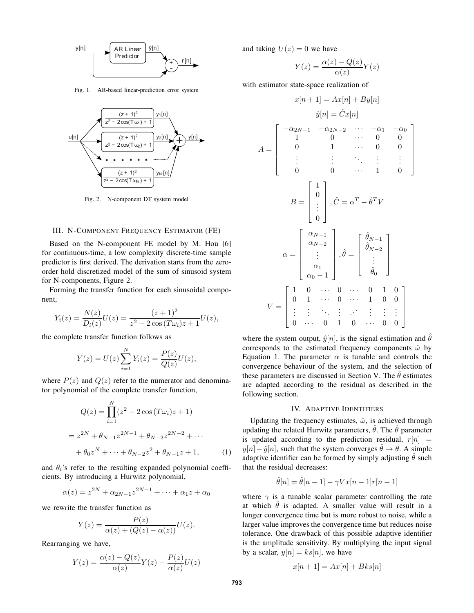

Fig. 1. AR-based linear-prediction error system



Fig. 2. N-component DT system model

# III. N-COMPONENT FREQUENCY ESTIMATOR (FE)

Based on the N-component FE model by M. Hou [6] for continuous-time, a low complexity discrete-time sample predictor is first derived. The derivation starts from the zeroorder hold discretized model of the sum of sinusoid system for N-components, Figure 2.

Forming the transfer function for each sinusoidal component,

$$
Y_i(z) = \frac{N(z)}{D_i(z)}U(z) = \frac{(z+1)^2}{z^2 - 2\cos(T\omega_i)z + 1}U(z),
$$

the complete transfer function follows as

$$
Y(z) = U(z) \sum_{i=1}^{N} Y_i(z) = \frac{P(z)}{Q(z)} U(z),
$$

where  $P(z)$  and  $Q(z)$  refer to the numerator and denominator polynomial of the complete transfer function,

$$
Q(z) = \prod_{i=1}^{N} (z^2 - 2\cos(T\omega_i)z + 1)
$$
  
=  $z^{2N} + \theta_{N-1}z^{2N-1} + \theta_{N-2}z^{2N-2} + \cdots$   
+  $\theta_0 z^N + \cdots + \theta_{N-2} z^2 + \theta_{N-1} z + 1,$  (1)

and  $\theta_i$ 's refer to the resulting expanded polynomial coefficients. By introducing a Hurwitz polynomial,

$$
\alpha(z) = z^{2N} + \alpha_{2N-1} z^{2N-1} + \dots + \alpha_1 z + \alpha_0
$$

we rewrite the transfer function as

$$
Y(z) = \frac{P(z)}{\alpha(z) + (Q(z) - \alpha(z))} U(z).
$$

Rearranging we have,

$$
Y(z) = \frac{\alpha(z) - Q(z)}{\alpha(z)} Y(z) + \frac{P(z)}{\alpha(z)} U(z)
$$

and taking  $U(z) = 0$  we have

$$
Y(z) = \frac{\alpha(z) - Q(z)}{\alpha(z)} Y(z)
$$

with estimator state-space realization of

$$
x[n+1] = Ax[n] + By[n]
$$
  
\n
$$
\hat{y}[n] = \hat{C}x[n]
$$
  
\n
$$
A = \begin{bmatrix}\n-\alpha_{2N-1} & -\alpha_{2N-2} & \cdots & -\alpha_1 & -\alpha_0 \\
1 & 0 & \cdots & 0 & 0 \\
0 & 1 & \cdots & 0 & 0 \\
\vdots & \vdots & \ddots & \vdots & \vdots \\
0 & 0 & \cdots & 1 & 0\n\end{bmatrix}
$$
  
\n
$$
B = \begin{bmatrix}\n1 \\
0 \\
\vdots \\
0\n\end{bmatrix}, \hat{C} = \alpha^T - \hat{\theta}^T V
$$
  
\n
$$
\alpha = \begin{bmatrix}\n\alpha_{N-1} \\
\alpha_{N-2} \\
\vdots \\
\alpha_1 \\
\alpha_0 - 1\n\end{bmatrix}, \hat{\theta} = \begin{bmatrix}\n\hat{\theta}_{N-1} \\
\hat{\theta}_{N-2} \\
\vdots \\
\hat{\theta}_0\n\end{bmatrix}
$$
  
\n
$$
V = \begin{bmatrix}\n1 & 0 & \cdots & 0 & \cdots & 0 & 1 & 0 \\
0 & 1 & \cdots & 0 & \cdots & 1 & 0 & 0 \\
\vdots & \vdots & \ddots & \vdots & \ddots & \vdots & \vdots \\
0 & \cdots & 0 & 1 & 0 & \cdots & 0 & 0\n\end{bmatrix}
$$

where the system output,  $\hat{y}[n]$ , is the signal estimation and  $\theta$ corresponds to the estimated frequency components  $\hat{\omega}$  by Equation 1. The parameter  $\alpha$  is tunable and controls the convergence behaviour of the system, and the selection of these parameters are discussed in Section V. The  $\hat{\theta}$  estimates are adapted according to the residual as described in the following section.

## IV. ADAPTIVE IDENTIFIERS

Updating the frequency estimates,  $\hat{\omega}$ , is achieved through updating the related Hurwitz parameters,  $\hat{\theta}$ . The  $\hat{\theta}$  parameter is updated according to the prediction residual,  $r[n]$  =  $y[n] - \hat{y}[n]$ , such that the system converges  $\hat{\theta} \to \theta$ . A simple adaptive identifier can be formed by simply adjusting  $\hat{\theta}$  such that the residual decreases:

$$
\hat{\theta}[n] = \hat{\theta}[n-1] - \gamma Vx[n-1]r[n-1]
$$

where  $\gamma$  is a tunable scalar parameter controlling the rate at which  $\hat{\theta}$  is adapted. A smaller value will result in a longer convergence time but is more robust to noise, while a larger value improves the convergence time but reduces noise tolerance. One drawback of this possible adaptive identifier is the amplitude sensitivity. By multiplying the input signal by a scalar,  $y[n] = ks[n]$ , we have

$$
x[n+1] = Ax[n] + Bks[n]
$$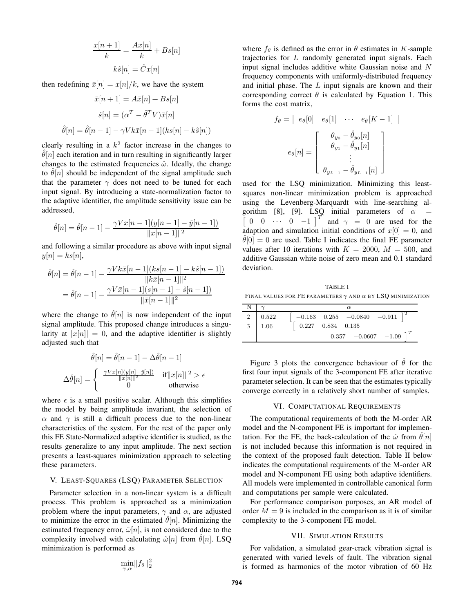$$
\frac{x[n+1]}{k} = \frac{Ax[n]}{k} + Bs[n]
$$

$$
k\hat{s}[n] = \hat{C}x[n]
$$

then redefining  $\bar{x}[n] = x[n]/k$ , we have the system

$$
\bar{x}[n+1] = A\bar{x}[n] + Bs[n]
$$

$$
\hat{s}[n] = (\alpha^T - \hat{\theta}^T V)\bar{x}[n]
$$

$$
\hat{\theta}[n] = \hat{\theta}[n-1] - \gamma V k \bar{x}[n-1] (ks[n] - k\hat{s}[n])
$$

clearly resulting in a  $k^2$  factor increase in the changes to  $\theta[n]$  each iteration and in turn resulting in significantly larger changes to the estimated frequencies  $\hat{\omega}$ . Ideally, the change to  $\hat{\theta}[n]$  should be independent of the signal amplitude such that the parameter  $\gamma$  does not need to be tuned for each input signal. By introducing a state-normalization factor to the adaptive identifier, the amplitude sensitivity issue can be addressed,

$$
\hat{\theta}[n] = \hat{\theta}[n-1] - \frac{\gamma V x[n-1](y[n-1] - \hat{y}[n-1])}{\|x[n-1]\|^2}
$$

and following a similar procedure as above with input signal  $y[n] = ks[n],$ 

$$
\hat{\theta}[n] = \hat{\theta}[n-1] - \frac{\gamma V k \bar{x}[n-1](k s[n-1] - k \hat{s}[n-1])}{\|k \bar{x}[n-1]\|^2}
$$

$$
= \hat{\theta}[n-1] - \frac{\gamma V \bar{x}[n-1](s[n-1] - \hat{s}[n-1])}{\|\bar{x}[n-1]\|^2}
$$

where the change to  $\hat{\theta}[n]$  is now independent of the input signal amplitude. This proposed change introduces a singularity at  $|x[n]| = 0$ , and the adaptive identifier is slightly adjusted such that

$$
\hat{\theta}[n] = \hat{\theta}[n-1] - \Delta\hat{\theta}[n-1]
$$

$$
\Delta\hat{\theta}[n] = \begin{cases} \frac{\gamma V x[n](y[n]-\hat{y}[n])}{\|x[n]\|^2} & \text{if } \|x[n]\|^2 > \epsilon \\ 0 & \text{otherwise} \end{cases}
$$

where  $\epsilon$  is a small positive scalar. Although this simplifies the model by being amplitude invariant, the selection of  $\alpha$  and  $\gamma$  is still a difficult process due to the non-linear characteristics of the system. For the rest of the paper only this FE State-Normalized adaptive identifier is studied, as the results generalize to any input amplitude. The next section presents a least-squares minimization approach to selecting these parameters.

# V. LEAST-SQUARES (LSQ) PARAMETER SELECTION

Parameter selection in a non-linear system is a difficult process. This problem is approached as a minimization problem where the input parameters,  $\gamma$  and  $\alpha$ , are adjusted to minimize the error in the estimated  $\hat{\theta}[n]$ . Minimizing the estimated frequency error,  $\hat{\omega}[n]$ , is not considered due to the complexity involved with calculating  $\hat{\omega}[n]$  from  $\hat{\theta}[n]$ . LSQ minimization is performed as

$$
\min_{\gamma,\alpha} \lVert f_\theta \rVert_2^2
$$

where  $f_{\theta}$  is defined as the error in  $\theta$  estimates in K-sample trajectories for L randomly generated input signals. Each input signal includes additive white Gaussian noise and N frequency components with uniformly-distributed frequency and initial phase. The  $L$  input signals are known and their corresponding correct  $\theta$  is calculated by Equation 1. This forms the cost matrix,

$$
f_{\theta} = \begin{bmatrix} e_{\theta}[0] & e_{\theta}[1] & \cdots & e_{\theta}[K-1] \end{bmatrix}
$$

$$
e_{\theta}[n] = \begin{bmatrix} \theta_{y_0} - \hat{\theta}_{y_0}[n] \\ \theta_{y_1} - \hat{\theta}_{y_1}[n] \\ \vdots \\ \theta_{y_{L-1}} - \hat{\theta}_{y_{L-1}}[n] \end{bmatrix}
$$

used for the LSQ minimization. Minimizing this leastsquares non-linear minimization problem is approached using the Levenberg-Marquardt with line-searching algorithm [8], [9]. LSQ initial parameters of  $\alpha$  $\overline{\phantom{a}}$ 0 0  $\cdots$  0  $-1$  |<sup>T</sup> and  $\gamma = 0$  are used for the adaption and simulation initial conditions of  $x[0] = 0$ , and  $\hat{\theta}[0] = 0$  are used. Table I indicates the final FE parameter values after 10 iterations with  $K = 2000$ ,  $M = 500$ , and additive Gaussian white noise of zero mean and 0.1 standard deviation.

TABLE I FINAL VALUES FOR FE PARAMETERS  $\gamma$  and  $\alpha$  by LSQ minimization

|              | $\alpha$                                        |  |  |
|--------------|-------------------------------------------------|--|--|
| 0.522        | $-0.163 \quad 0.255 \quad -0.0840 \quad -0.911$ |  |  |
| $\vert$ 1.06 | $0.227$ $0.834$ $0.135$                         |  |  |
|              | $0.357 -0.0607 -1.09$                           |  |  |

Figure 3 plots the convergence behaviour of  $\hat{\theta}$  for the first four input signals of the 3-component FE after iterative parameter selection. It can be seen that the estimates typically converge correctly in a relatively short number of samples.

#### VI. COMPUTATIONAL REQUIREMENTS

The computational requirements of both the M-order AR model and the N-component FE is important for implementation. For the FE, the back-calculation of the  $\hat{\omega}$  from  $\theta[n]$ is not included because this information is not required in the context of the proposed fault detection. Table II below indicates the computational requirements of the M-order AR model and N-component FE using both adaptive identifiers. All models were implemented in controllable canonical form and computations per sample were calculated.

For performance comparison purposes, an AR model of order  $M = 9$  is included in the comparison as it is of similar complexity to the 3-component FE model.

## VII. SIMULATION RESULTS

For validation, a simulated gear-crack vibration signal is generated with varied levels of fault. The vibration signal is formed as harmonics of the motor vibration of 60 Hz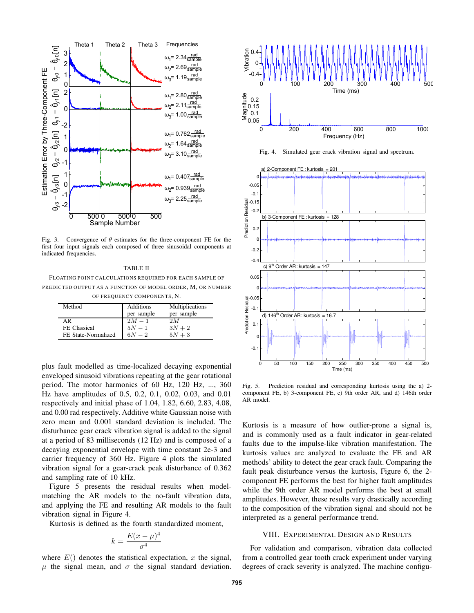

Fig. 3. Convergence of  $\theta$  estimates for the three-component FE for the first four input signals each composed of three sinusoidal components at indicated frequencies.

TABLE II FLOATING POINT CALCULATIONS REQUIRED FOR EACH SAMPLE OF PREDICTED OUTPUT AS A FUNCTION OF MODEL ORDER, M, OR NUMBER OF FREQUENCY COMPONENTS, N.

| of IREQUERCI COMI ORENTO, IN |            |                 |  |  |
|------------------------------|------------|-----------------|--|--|
| Method                       | Additions  | Multiplications |  |  |
|                              | per sample | per sample      |  |  |
| ΑR                           | $2M-1$     | 2 M             |  |  |
| FE Classical                 | $5N-1$     | $3N+2$          |  |  |
| FE State-Normalized          | $6N - 2$   | $5N+3$          |  |  |

plus fault modelled as time-localized decaying exponential enveloped sinusoid vibrations repeating at the gear rotational period. The motor harmonics of 60 Hz, 120 Hz, ..., 360 Hz have amplitudes of 0.5, 0.2, 0.1, 0.02, 0.03, and 0.01 respectively and initial phase of 1.04, 1.82, 6.60, 2.83, 4.08, and 0.00 rad respectively. Additive white Gaussian noise with zero mean and 0.001 standard deviation is included. The disturbance gear crack vibration signal is added to the signal at a period of 83 milliseconds (12 Hz) and is composed of a decaying exponential envelope with time constant 2e-3 and carrier frequency of 360 Hz. Figure 4 plots the simulated vibration signal for a gear-crack peak disturbance of 0.362 and sampling rate of 10 kHz.

Figure 5 presents the residual results when modelmatching the AR models to the no-fault vibration data, and applying the FE and resulting AR models to the fault vibration signal in Figure 4.

Kurtosis is defined as the fourth standardized moment,

$$
k = \frac{E(x - \mu)^4}{\sigma^4}
$$

where  $E()$  denotes the statistical expectation, x the signal,  $\mu$  the signal mean, and  $\sigma$  the signal standard deviation.



Fig. 4. Simulated gear crack vibration signal and spectrum.



Fig. 5. Prediction residual and corresponding kurtosis using the a) 2 component FE, b) 3-component FE, c) 9th order AR, and d) 146th order AR model.

Kurtosis is a measure of how outlier-prone a signal is, and is commonly used as a fault indicator in gear-related faults due to the impulse-like vibration manifestation. The kurtosis values are analyzed to evaluate the FE and AR methods' ability to detect the gear crack fault. Comparing the fault peak disturbance versus the kurtosis, Figure 6, the 2 component FE performs the best for higher fault amplitudes while the 9th order AR model performs the best at small amplitudes. However, these results vary drastically according to the composition of the vibration signal and should not be interpreted as a general performance trend.

### VIII. EXPERIMENTAL DESIGN AND RESULTS

For validation and comparison, vibration data collected from a controlled gear tooth crack experiment under varying degrees of crack severity is analyzed. The machine configu-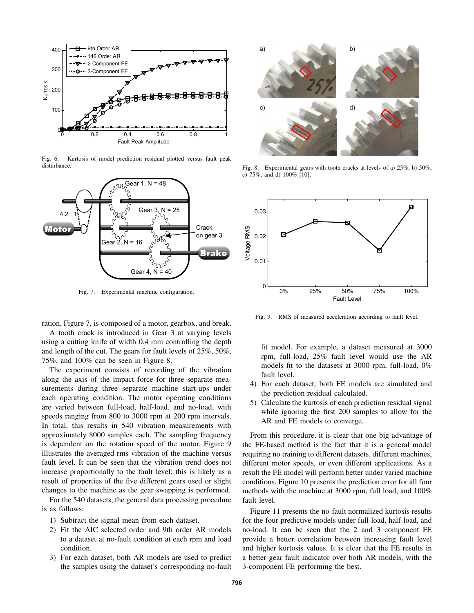

Fig. 6. Kurtosis of model prediction residual plotted versus fault peak disturbance.



Fig. 7. Experimental machine configuration.

ration, Figure 7, is composed of a motor, gearbox, and break. A tooth crack is introduced in Gear 3 at varying levels using a cutting knife of width 0.4 mm controlling the depth and length of the cut. The gears for fault levels of 25%, 50%, 75%, and 100% can be seen in Figure 8.

The experiment consists of recording of the vibration along the axis of the impact force for three separate measurements during three separate machine start-ups under each operating condition. The motor operating conditions are varied between full-load, half-load, and no-load, with speeds ranging from 800 to 3000 rpm at 200 rpm intervals. In total, this results in 540 vibration measurements with approximately 8000 samples each. The sampling frequency is dependent on the rotation speed of the motor. Figure 9 illustrates the averaged rms vibration of the machine versus fault level. It can be seen that the vibration trend does not increase proportionally to the fault level; this is likely as a result of properties of the five different gears used or slight changes to the machine as the gear swapping is performed.

For the 540 datasets, the general data processing procedure is as follows:

- 1) Subtract the signal mean from each dataset.
- 2) Fit the AIC selected order and 9th order AR models to a dataset at no-fault condition at each rpm and load condition.
- 3) For each dataset, both AR models are used to predict the samples using the dataset's corresponding no-fault



Fig. 8. Experimental gears with tooth cracks at levels of a) 25%, b) 50%, c) 75%, and d) 100% [10].



Fig. 9. RMS of measured acceleration according to fault level.

fit model. For example, a dataset measured at 3000 rpm, full-load, 25% fault level would use the AR models fit to the datasets at 3000 rpm, full-load, 0% fault level.

- 4) For each dataset, both FE models are simulated and the prediction residual calculated.
- 5) Calculate the kurtosis of each prediction residual signal while ignoring the first 200 samples to allow for the AR and FE models to converge.

From this procedure, it is clear that one big advantage of the FE-based method is the fact that it is a general model requiring no training to different datasets, different machines, different motor speeds, or even different applications. As a result the FE model will perform better under varied machine conditions. Figure 10 presents the prediction error for all four methods with the machine at 3000 rpm, full load, and 100% fault level.

Figure 11 presents the no-fault normalized kurtosis results for the four predictive models under full-load, half-load, and no-load. It can be seen that the 2 and 3 component FE provide a better correlation between increasing fault level and higher kurtosis values. It is clear that the FE results in a better gear fault indicator over both AR models, with the 3-component FE performing the best.